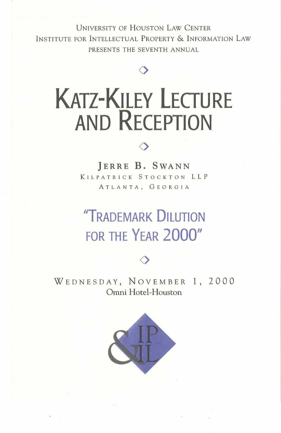UNIVERSITY OF HOUSTON LAW CENTER INSTITUTE FOR INTELLECTUAL PROPERTY & INFORMATION LAW PRESENTS THE SEVENTH ANNUAL

**0** 

## **KATZ-KILEY LECTURE AND RECEPTION**



**}ERRE B. SWANN**  KILPATRICK STOCKTON LLP ATLANTA, GEORGIA

## **"TRADEMARK DILUTION FOR THE YEAR 2000"**

WEDNESDAY, NOVEMBER 1, 2000 Omni Hotel-Houston

 $\Diamond$ 

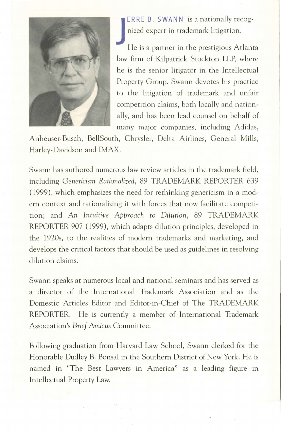

**ERRE B. SWANN is a nationally recog-**<br>nized expert in trademark litigation.<br>He is a partner in the prestigious Atlanta nized expert in trademark litigation.

law firm of Kilpatrick Stockton LLP, where he is the senior litigator in the Intellectual Property Group. Swann devotes his practice to the litigation of trademark and unfair competition claims, both locally and nation~ ally, and has been lead counsel on behalf of many major companies, including Adidas,

Anheuser~ Busch, BellSouth, Chrysler, Delta Airlines, General Mills, Harley~Davidson and IMAX.

Swann has authored numerous law review articles in the trademark field, including *Genericism Rationalized,* 89 TRADEMARK REPORTER 639 (1999), which emphasizes the need for rethinking genericism in a mod~ ern context and rationalizing it with forces that now facilitate competition; and *An Intuitive Approach to Dilution,* 89 TRADEMARK REPORTER 907 (1999), which adapts dilution principles, developed in the 1920s, to the realities of modern trademarks and marketing, and develops the critical factors that should be used as guidelines in resolving dilution claims.

Swann speaks at numerous local and national seminars and has served as a director of the International Trademark Association and as the Domestic Articles Editor and Editor~in~Chief of The TRADEMARK REPORTER. He is currently a member of International Trademark Association's *Brief Amicus* Committee.

Following graduation from Harvard Law School, Swann clerked for the Honorable Dudley B. Bonsal in the Southern District of New York. He is named in "The Best Lawyers in America" as a leading figure in Intellectual Property Law.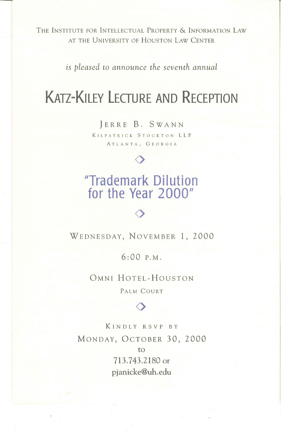THE INSTITUTE FOR INTELLECTUAL PROPERTY & INFORMATION LAW AT THE UNIVERSITY OF HOUSTON LAW CENTER

*is pleased to announce the seventh annual* 

## **KATZ-KILEY LECTURE AND RECEPTION**

]ERRE B. SWANN KILPATRICK STOCKTON LLP ATLANTA, GEORGIA

 $\Diamond$ 

## **"Trademark Dilution for the Year 2000"**

 $\Diamond$ 

WEDNESDAY, NOVEMBER 1, 2000

6:00 P.M.

OMNI HOTEL-HOUSTON PALM COURT

 $\Diamond$ 

KINDLY R S VP BY MONDAY, OCTOBER 30, 2000 to 713. 743.2180 or pjanicke@uh.edu